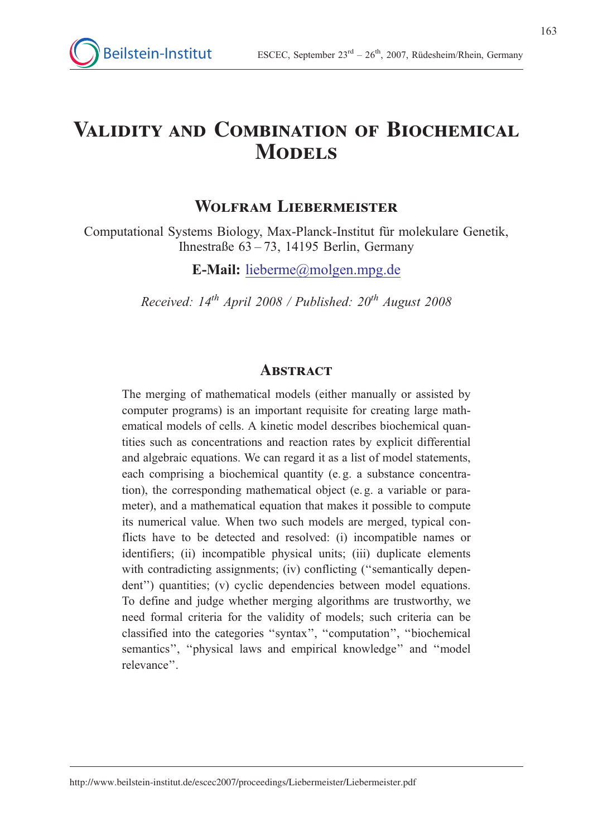# Validity and Combination of Biochemical **MODELS**

# WOLFRAM LIEBERMEISTER

Computational Systems Biology, Max-Planck-Institut für molekulare Genetik, Ihnestraße  $63 - 73$ , 14195 Berlin, Germany

E-Mail: lieberme@molgen.mpg.de

Received:  $14^{th}$  April 2008 / Published:  $20^{th}$  August 2008

# **ABSTRACT**

The merging of mathematical models (either manually or assisted by computer programs) is an important requisite for creating large mathematical models of cells. A kinetic model describes biochemical quantities such as concentrations and reaction rates by explicit differential and algebraic equations. We can regard it as a list of model statements, each comprising a biochemical quantity (e. g. a substance concentration), the corresponding mathematical object (e. g. a variable or parameter), and a mathematical equation that makes it possible to compute its numerical value. When two such models are merged, typical conflicts have to be detected and resolved: (i) incompatible names or identifiers; (ii) incompatible physical units; (iii) duplicate elements with contradicting assignments; (iv) conflicting ("semantically dependent'') quantities; (v) cyclic dependencies between model equations. To define and judge whether merging algorithms are trustworthy, we need formal criteria for the validity of models; such criteria can be classified into the categories ''syntax'', ''computation'', ''biochemical semantics'', ''physical laws and empirical knowledge'' and ''model relevance''.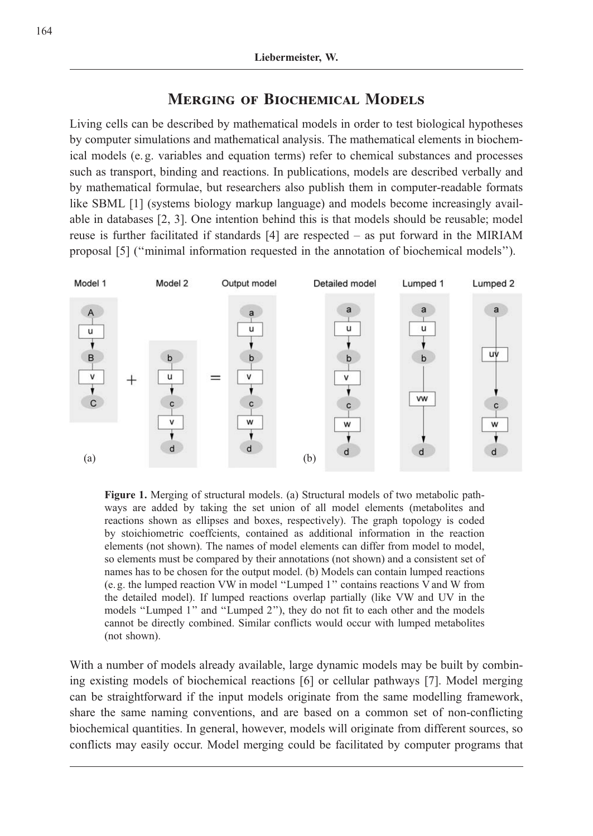# Merging of Biochemical Models

Living cells can be described by mathematical models in order to test biological hypotheses by computer simulations and mathematical analysis. The mathematical elements in biochemical models (e. g. variables and equation terms) refer to chemical substances and processes such as transport, binding and reactions. In publications, models are described verbally and by mathematical formulae, but researchers also publish them in computer-readable formats like SBML [1] (systems biology markup language) and models become increasingly available in databases [2, 3]. One intention behind this is that models should be reusable; model reuse is further facilitated if standards [4] are respected – as put forward in the MIRIAM proposal [5] (''minimal information requested in the annotation of biochemical models'').



Figure 1. Merging of structural models. (a) Structural models of two metabolic pathways are added by taking the set union of all model elements (metabolites and reactions shown as ellipses and boxes, respectively). The graph topology is coded by stoichiometric coeffcients, contained as additional information in the reaction elements (not shown). The names of model elements can differ from model to model, so elements must be compared by their annotations (not shown) and a consistent set of names has to be chosen for the output model. (b) Models can contain lumped reactions (e. g. the lumped reaction VW in model ''Lumped 1'' contains reactions V and W from the detailed model). If lumped reactions overlap partially (like VW and UV in the models ''Lumped 1'' and ''Lumped 2''), they do not fit to each other and the models cannot be directly combined. Similar conflicts would occur with lumped metabolites (not shown).

With a number of models already available, large dynamic models may be built by combining existing models of biochemical reactions [6] or cellular pathways [7]. Model merging can be straightforward if the input models originate from the same modelling framework, share the same naming conventions, and are based on a common set of non-conflicting biochemical quantities. In general, however, models will originate from different sources, so conflicts may easily occur. Model merging could be facilitated by computer programs that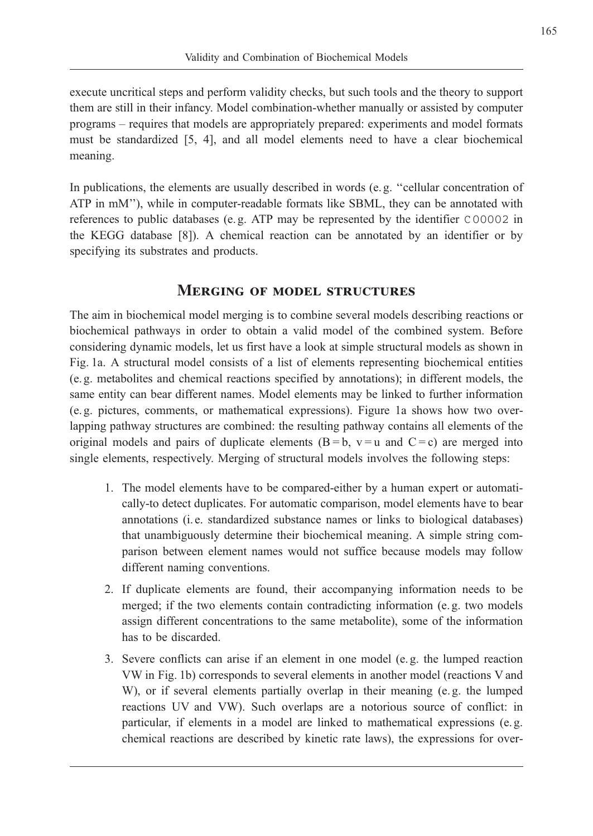execute uncritical steps and perform validity checks, but such tools and the theory to support them are still in their infancy. Model combination-whether manually or assisted by computer programs – requires that models are appropriately prepared: experiments and model formats must be standardized [5, 4], and all model elements need to have a clear biochemical meaning.

In publications, the elements are usually described in words (e. g. ''cellular concentration of ATP in mM''), while in computer-readable formats like SBML, they can be annotated with references to public databases (e.g. ATP may be represented by the identifier C00002 in the KEGG database [8]). A chemical reaction can be annotated by an identifier or by specifying its substrates and products.

## Merging of model structures

The aim in biochemical model merging is to combine several models describing reactions or biochemical pathways in order to obtain a valid model of the combined system. Before considering dynamic models, let us first have a look at simple structural models as shown in Fig. 1a. A structural model consists of a list of elements representing biochemical entities (e. g. metabolites and chemical reactions specified by annotations); in different models, the same entity can bear different names. Model elements may be linked to further information (e. g. pictures, comments, or mathematical expressions). Figure 1a shows how two overlapping pathway structures are combined: the resulting pathway contains all elements of the original models and pairs of duplicate elements  $(B = b, v = u$  and  $C = c$ ) are merged into single elements, respectively. Merging of structural models involves the following steps:

- 1. The model elements have to be compared-either by a human expert or automatically-to detect duplicates. For automatic comparison, model elements have to bear annotations (i. e. standardized substance names or links to biological databases) that unambiguously determine their biochemical meaning. A simple string comparison between element names would not suffice because models may follow different naming conventions.
- 2. If duplicate elements are found, their accompanying information needs to be merged; if the two elements contain contradicting information (e. g. two models assign different concentrations to the same metabolite), some of the information has to be discarded.
- 3. Severe conflicts can arise if an element in one model (e. g. the lumped reaction VW in Fig. 1b) corresponds to several elements in another model (reactions V and W), or if several elements partially overlap in their meaning (e. g. the lumped reactions UV and VW). Such overlaps are a notorious source of conflict: in particular, if elements in a model are linked to mathematical expressions (e. g. chemical reactions are described by kinetic rate laws), the expressions for over-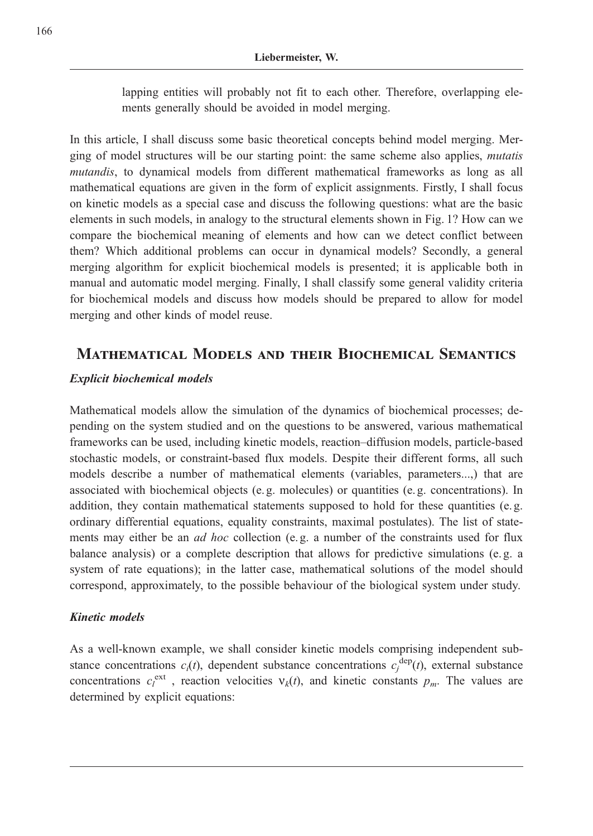lapping entities will probably not fit to each other. Therefore, overlapping elements generally should be avoided in model merging.

In this article, I shall discuss some basic theoretical concepts behind model merging. Merging of model structures will be our starting point: the same scheme also applies, mutatis mutandis, to dynamical models from different mathematical frameworks as long as all mathematical equations are given in the form of explicit assignments. Firstly, I shall focus on kinetic models as a special case and discuss the following questions: what are the basic elements in such models, in analogy to the structural elements shown in Fig. 1? How can we compare the biochemical meaning of elements and how can we detect conflict between them? Which additional problems can occur in dynamical models? Secondly, a general merging algorithm for explicit biochemical models is presented; it is applicable both in manual and automatic model merging. Finally, I shall classify some general validity criteria for biochemical models and discuss how models should be prepared to allow for model merging and other kinds of model reuse.

# Mathematical Models and their Biochemical Semantics

### Explicit biochemical models

Mathematical models allow the simulation of the dynamics of biochemical processes; depending on the system studied and on the questions to be answered, various mathematical frameworks can be used, including kinetic models, reaction–diffusion models, particle-based stochastic models, or constraint-based flux models. Despite their different forms, all such models describe a number of mathematical elements (variables, parameters...,) that are associated with biochemical objects (e. g. molecules) or quantities (e. g. concentrations). In addition, they contain mathematical statements supposed to hold for these quantities (e.g. ordinary differential equations, equality constraints, maximal postulates). The list of statements may either be an *ad hoc* collection (e.g. a number of the constraints used for flux balance analysis) or a complete description that allows for predictive simulations (e. g. a system of rate equations); in the latter case, mathematical solutions of the model should correspond, approximately, to the possible behaviour of the biological system under study.

### Kinetic models

As a well-known example, we shall consider kinetic models comprising independent substance concentrations  $c_i(t)$ , dependent substance concentrations  $c_j^{\text{dep}}(t)$ , external substance concentrations  $c_l^{\text{ext}}$ , reaction velocities  $v_k(t)$ , and kinetic constants  $p_m$ . The values are determined by explicit equations: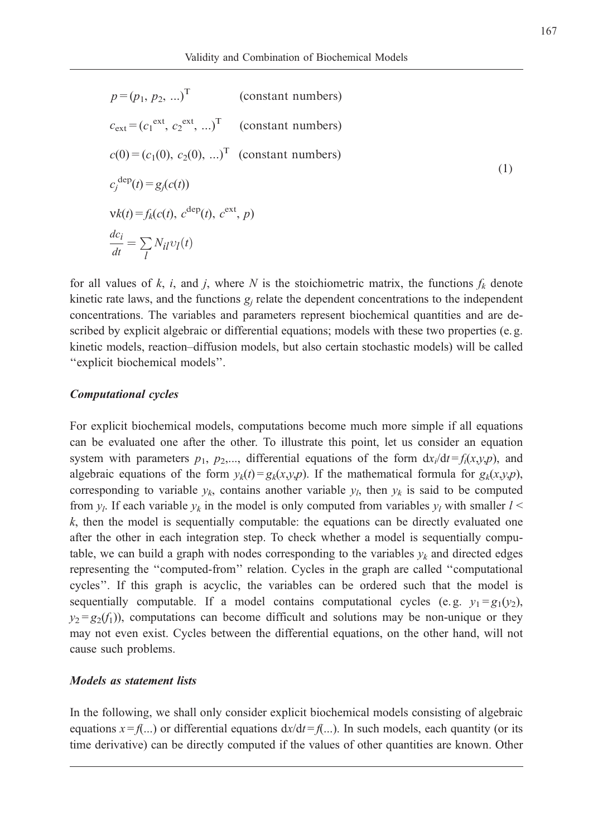$$
p = (p_1, p_2, ...)^T
$$
 (constant numbers)  
\n
$$
c_{ext} = (c_1^{ext}, c_2^{ext}, ...)^T
$$
 (constant numbers)  
\n
$$
c(0) = (c_1(0), c_2(0), ...)^T
$$
 (constant numbers)  
\n
$$
c_j^{dep}(t) = g_j(c(t))
$$
  
\n
$$
vk(t) = f_k(c(t), c^{dep}(t), c^{ext}, p)
$$
  
\n
$$
\frac{dc_i}{dt} = \sum_l N_{il}v_l(t)
$$
 (1)

for all values of k, i, and j, where N is the stoichiometric matrix, the functions  $f_k$  denote kinetic rate laws, and the functions  $g_i$  relate the dependent concentrations to the independent concentrations. The variables and parameters represent biochemical quantities and are described by explicit algebraic or differential equations; models with these two properties (e.g. kinetic models, reaction–diffusion models, but also certain stochastic models) will be called ''explicit biochemical models''.

#### Computational cycles

For explicit biochemical models, computations become much more simple if all equations can be evaluated one after the other. To illustrate this point, let us consider an equation system with parameters  $p_1$ ,  $p_2$ ,..., differential equations of the form  $dx_i/dt = f_i(x,y,p)$ , and algebraic equations of the form  $y_k(t) = g_k(x,y,p)$ . If the mathematical formula for  $g_k(x,y,p)$ , corresponding to variable  $y_k$ , contains another variable  $y_k$ , then  $y_k$  is said to be computed from  $y_l$ . If each variable  $y_k$  in the model is only computed from variables  $y_l$  with smaller  $l$  <  $k$ , then the model is sequentially computable: the equations can be directly evaluated one after the other in each integration step. To check whether a model is sequentially computable, we can build a graph with nodes corresponding to the variables  $y_k$  and directed edges representing the ''computed-from'' relation. Cycles in the graph are called ''computational cycles''. If this graph is acyclic, the variables can be ordered such that the model is sequentially computable. If a model contains computational cycles (e.g.  $y_1 = g_1(y_2)$ ),  $y_2 = g_2(f_1)$ , computations can become difficult and solutions may be non-unique or they may not even exist. Cycles between the differential equations, on the other hand, will not cause such problems.

#### Models as statement lists

In the following, we shall only consider explicit biochemical models consisting of algebraic equations  $x = f$ ...) or differential equations  $dx/dt = f$ ...). In such models, each quantity (or its time derivative) can be directly computed if the values of other quantities are known. Other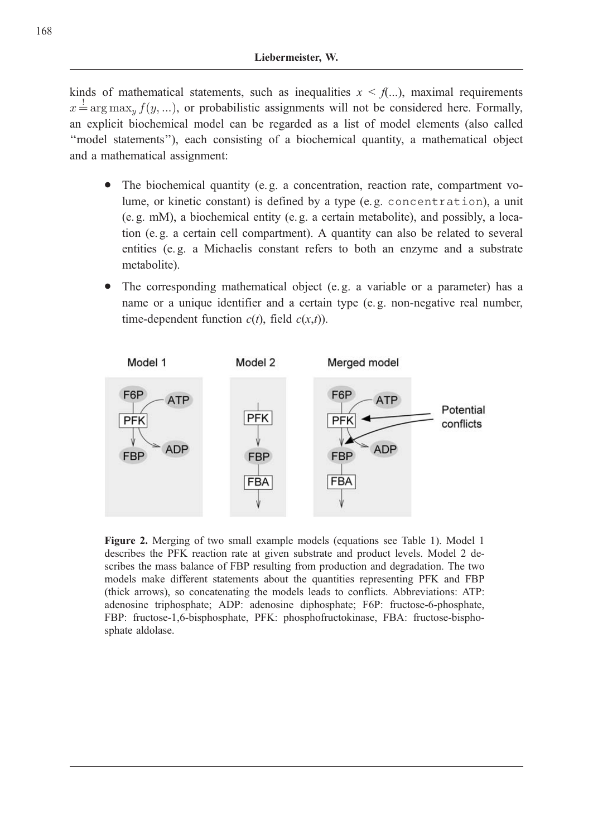kinds of mathematical statements, such as inequalities  $x < f$ ...), maximal requirements  $x \stackrel{!}{=} \arg \max_y f(y, ...)$ , or probabilistic assignments will not be considered here. Formally, an explicit biochemical model can be regarded as a list of model elements (also called ''model statements''), each consisting of a biochemical quantity, a mathematical object and a mathematical assignment:

- . The biochemical quantity (e. g. a concentration, reaction rate, compartment volume, or kinetic constant) is defined by a type (e. g. concentration), a unit (e. g. mM), a biochemical entity (e. g. a certain metabolite), and possibly, a location (e. g. a certain cell compartment). A quantity can also be related to several entities (e. g. a Michaelis constant refers to both an enzyme and a substrate metabolite).
- . The corresponding mathematical object (e. g. a variable or a parameter) has a name or a unique identifier and a certain type (e. g. non-negative real number, time-dependent function  $c(t)$ , field  $c(x,t)$ ).



Figure 2. Merging of two small example models (equations see Table 1). Model 1 describes the PFK reaction rate at given substrate and product levels. Model 2 describes the mass balance of FBP resulting from production and degradation. The two models make different statements about the quantities representing PFK and FBP (thick arrows), so concatenating the models leads to conflicts. Abbreviations: ATP: adenosine triphosphate; ADP: adenosine diphosphate; F6P: fructose-6-phosphate, FBP: fructose-1,6-bisphosphate, PFK: phosphofructokinase, FBA: fructose-bisphosphate aldolase.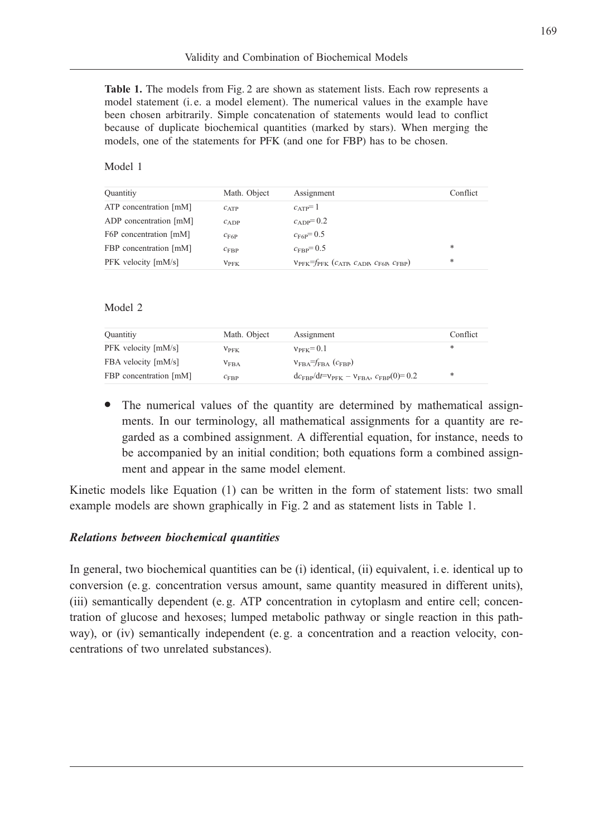Table 1. The models from Fig. 2 are shown as statement lists. Each row represents a model statement (i. e. a model element). The numerical values in the example have been chosen arbitrarily. Simple concatenation of statements would lead to conflict because of duplicate biochemical quantities (marked by stars). When merging the models, one of the statements for PFK (and one for FBP) has to be chosen.

#### Model 1

| Quantitiy              | Math. Object     | Assignment                                                              | Conflict |
|------------------------|------------------|-------------------------------------------------------------------------|----------|
| ATP concentration [mM] | $c_{ATP}$        | $c_{ATP} = 1$                                                           |          |
| ADP concentration [mM] | $c_{ADP}$        | $c_{ADP} = 0.2$                                                         |          |
| F6P concentration [mM] | $C_{\text{F6P}}$ | $c_{\text{F6P}} = 0.5$                                                  |          |
| FBP concentration [mM] | $C_{\rm FBP}$    | $c_{\text{FRP}} = 0.5$                                                  | *        |
| PFK velocity [mM/s]    | $V_{\rm PFK}$    | $V_{PFK}$ = $f_{PFK}$ ( $c_{ATP}$ , $c_{ADP}$ , $c_{F6P}$ , $c_{FBP}$ ) | *        |

Model 2

| Quantitiy              | Math. Object  | Assignment                                                                  | Conflict |
|------------------------|---------------|-----------------------------------------------------------------------------|----------|
| PFK velocity [mM/s]    | $V_{\rm PFK}$ | $v_{\text{PFK}}=0.1$                                                        | *        |
| FBA velocity [mM/s]    | $V_{\rm FBA}$ | $V_{\text{FBA}} = f_{\text{FBA}} (c_{\text{FBP}})$                          |          |
| FBP concentration [mM] | $C_{\rm FBP}$ | $dc_{FBP}/dt = v_{\text{PFK}} - v_{\text{FBA}}$ , $c_{\text{FBP}}(0) = 0.2$ | *        |

. The numerical values of the quantity are determined by mathematical assignments. In our terminology, all mathematical assignments for a quantity are regarded as a combined assignment. A differential equation, for instance, needs to be accompanied by an initial condition; both equations form a combined assignment and appear in the same model element.

Kinetic models like Equation (1) can be written in the form of statement lists: two small example models are shown graphically in Fig. 2 and as statement lists in Table 1.

#### Relations between biochemical quantities

In general, two biochemical quantities can be (i) identical, (ii) equivalent, i. e. identical up to conversion (e. g. concentration versus amount, same quantity measured in different units), (iii) semantically dependent (e. g. ATP concentration in cytoplasm and entire cell; concentration of glucose and hexoses; lumped metabolic pathway or single reaction in this pathway), or (iv) semantically independent (e. g. a concentration and a reaction velocity, concentrations of two unrelated substances).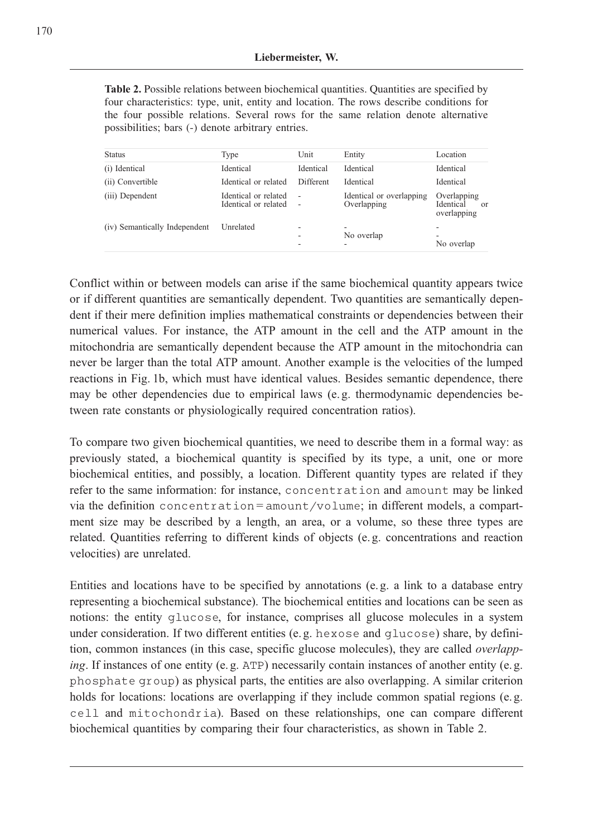Table 2. Possible relations between biochemical quantities. Quantities are specified by four characteristics: type, unit, entity and location. The rows describe conditions for the four possible relations. Several rows for the same relation denote alternative possibilities; bars (-) denote arbitrary entries.

| <b>Status</b>                 | Type                                         | Unit                                                 | Entity                                  | Location                                                         |
|-------------------------------|----------------------------------------------|------------------------------------------------------|-----------------------------------------|------------------------------------------------------------------|
| (i) Identical                 | Identical                                    | Identical                                            | Identical                               | Identical                                                        |
| (ii) Convertible              | Identical or related                         | <b>Different</b>                                     | Identical                               | Identical                                                        |
| (iii) Dependent               | Identical or related<br>Identical or related | $\overline{\phantom{a}}$<br>$\overline{\phantom{a}}$ | Identical or overlapping<br>Overlapping | Overlapping<br>Identical<br>$\alpha$ <sup>r</sup><br>overlapping |
| (iv) Semantically Independent | Unrelated                                    |                                                      | -<br>No overlap<br>-                    | -<br>No overlap                                                  |

Conflict within or between models can arise if the same biochemical quantity appears twice or if different quantities are semantically dependent. Two quantities are semantically dependent if their mere definition implies mathematical constraints or dependencies between their numerical values. For instance, the ATP amount in the cell and the ATP amount in the mitochondria are semantically dependent because the ATP amount in the mitochondria can never be larger than the total ATP amount. Another example is the velocities of the lumped reactions in Fig. 1b, which must have identical values. Besides semantic dependence, there may be other dependencies due to empirical laws (e. g. thermodynamic dependencies between rate constants or physiologically required concentration ratios).

To compare two given biochemical quantities, we need to describe them in a formal way: as previously stated, a biochemical quantity is specified by its type, a unit, one or more biochemical entities, and possibly, a location. Different quantity types are related if they refer to the same information: for instance, concentration and amount may be linked via the definition concentration = amount/volume; in different models, a compartment size may be described by a length, an area, or a volume, so these three types are related. Quantities referring to different kinds of objects (e. g. concentrations and reaction velocities) are unrelated.

Entities and locations have to be specified by annotations (e. g. a link to a database entry representing a biochemical substance). The biochemical entities and locations can be seen as notions: the entity glucose, for instance, comprises all glucose molecules in a system under consideration. If two different entities (e. g. hexose and glucose) share, by definition, common instances (in this case, specific glucose molecules), they are called overlapping. If instances of one entity (e.g.  $ATP$ ) necessarily contain instances of another entity (e.g. phosphate group) as physical parts, the entities are also overlapping. A similar criterion holds for locations: locations are overlapping if they include common spatial regions (e. g. cell and mitochondria). Based on these relationships, one can compare different biochemical quantities by comparing their four characteristics, as shown in Table 2.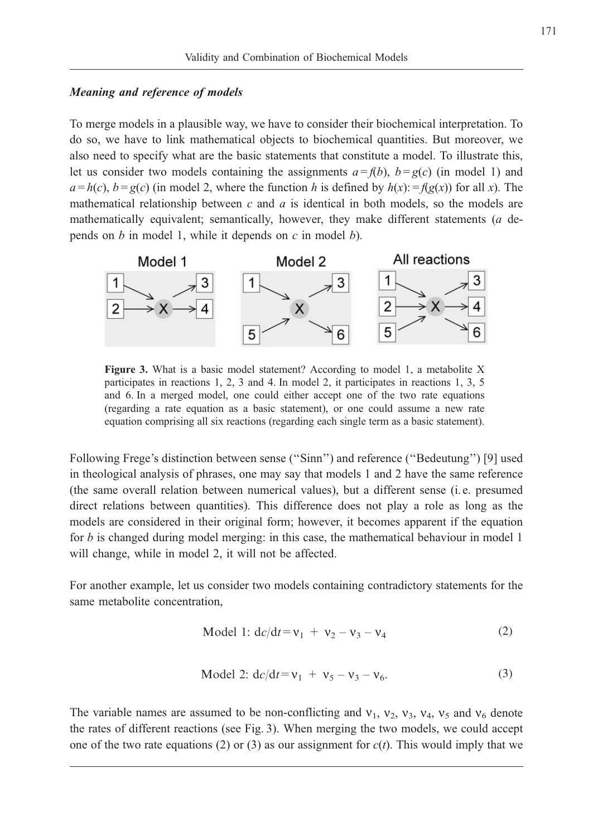### Meaning and reference of models

To merge models in a plausible way, we have to consider their biochemical interpretation. To do so, we have to link mathematical objects to biochemical quantities. But moreover, we also need to specify what are the basic statements that constitute a model. To illustrate this, let us consider two models containing the assignments  $a = f(b)$ ,  $b = g(c)$  (in model 1) and  $a = h(c)$ ,  $b = g(c)$  (in model 2, where the function h is defined by  $h(x) = f(g(x))$  for all x). The mathematical relationship between  $c$  and  $a$  is identical in both models, so the models are mathematically equivalent; semantically, however, they make different statements (a depends on  $b$  in model 1, while it depends on  $c$  in model  $b$ ).



Figure 3. What is a basic model statement? According to model 1, a metabolite X participates in reactions 1, 2, 3 and 4. In model 2, it participates in reactions 1, 3, 5 and 6. In a merged model, one could either accept one of the two rate equations (regarding a rate equation as a basic statement), or one could assume a new rate equation comprising all six reactions (regarding each single term as a basic statement).

Following Frege's distinction between sense (''Sinn'') and reference (''Bedeutung'') [9] used in theological analysis of phrases, one may say that models 1 and 2 have the same reference (the same overall relation between numerical values), but a different sense (i. e. presumed direct relations between quantities). This difference does not play a role as long as the models are considered in their original form; however, it becomes apparent if the equation for *b* is changed during model merging: in this case, the mathematical behaviour in model 1 will change, while in model 2, it will not be affected.

For another example, let us consider two models containing contradictory statements for the same metabolite concentration,

$$
Model 1: dc/dt = v_1 + v_2 - v_3 - v_4
$$
 (2)

Model 2: 
$$
dc/dt = v_1 + v_5 - v_3 - v_6.
$$
 (3)

The variable names are assumed to be non-conflicting and  $v_1$ ,  $v_2$ ,  $v_3$ ,  $v_4$ ,  $v_5$  and  $v_6$  denote the rates of different reactions (see Fig. 3). When merging the two models, we could accept one of the two rate equations (2) or (3) as our assignment for  $c(t)$ . This would imply that we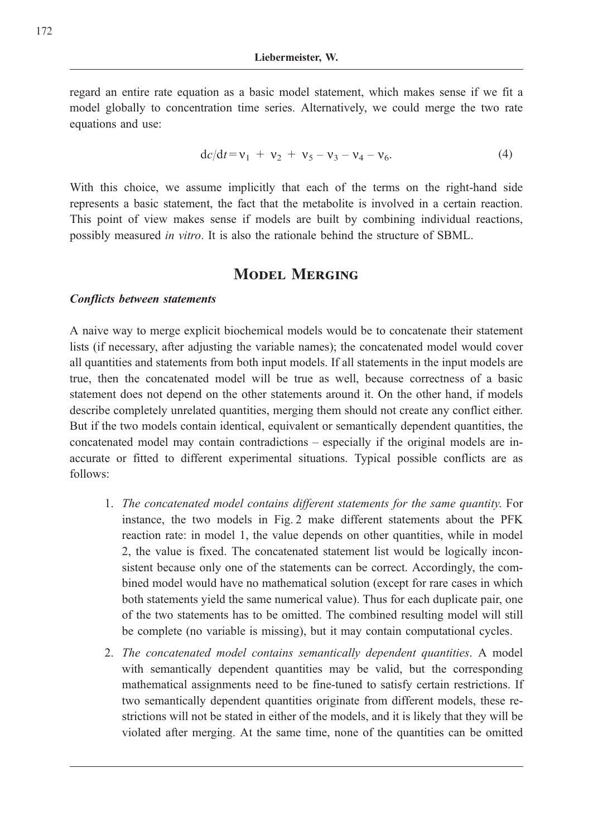regard an entire rate equation as a basic model statement, which makes sense if we fit a model globally to concentration time series. Alternatively, we could merge the two rate equations and use:

$$
dc/dt = v_1 + v_2 + v_5 - v_3 - v_4 - v_6. \tag{4}
$$

With this choice, we assume implicitly that each of the terms on the right-hand side represents a basic statement, the fact that the metabolite is involved in a certain reaction. This point of view makes sense if models are built by combining individual reactions, possibly measured in vitro. It is also the rationale behind the structure of SBML.

# MODEL MERGING

#### Conflicts between statements

A naive way to merge explicit biochemical models would be to concatenate their statement lists (if necessary, after adjusting the variable names); the concatenated model would cover all quantities and statements from both input models. If all statements in the input models are true, then the concatenated model will be true as well, because correctness of a basic statement does not depend on the other statements around it. On the other hand, if models describe completely unrelated quantities, merging them should not create any conflict either. But if the two models contain identical, equivalent or semantically dependent quantities, the concatenated model may contain contradictions – especially if the original models are inaccurate or fitted to different experimental situations. Typical possible conflicts are as follows:

- 1. The concatenated model contains different statements for the same quantity. For instance, the two models in Fig. 2 make different statements about the PFK reaction rate: in model 1, the value depends on other quantities, while in model 2, the value is fixed. The concatenated statement list would be logically inconsistent because only one of the statements can be correct. Accordingly, the combined model would have no mathematical solution (except for rare cases in which both statements yield the same numerical value). Thus for each duplicate pair, one of the two statements has to be omitted. The combined resulting model will still be complete (no variable is missing), but it may contain computational cycles.
- 2. The concatenated model contains semantically dependent quantities. A model with semantically dependent quantities may be valid, but the corresponding mathematical assignments need to be fine-tuned to satisfy certain restrictions. If two semantically dependent quantities originate from different models, these restrictions will not be stated in either of the models, and it is likely that they will be violated after merging. At the same time, none of the quantities can be omitted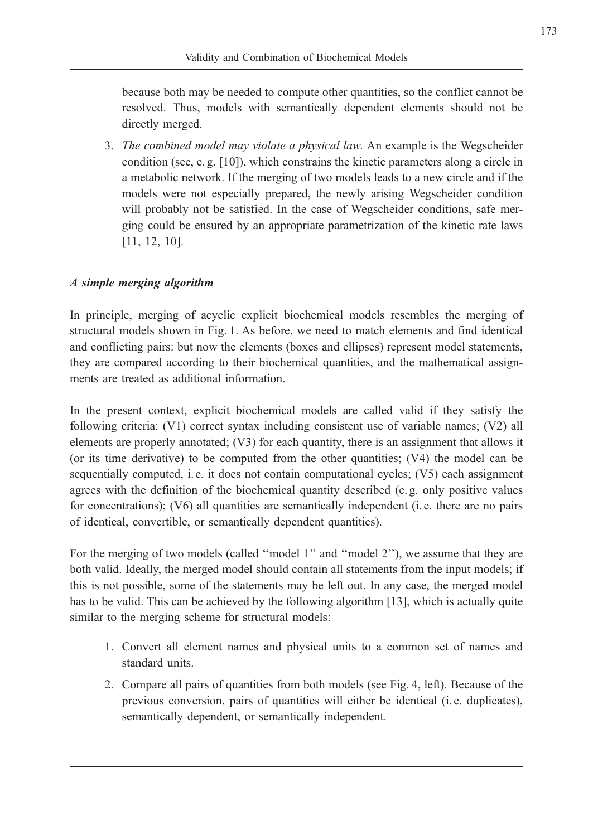because both may be needed to compute other quantities, so the conflict cannot be resolved. Thus, models with semantically dependent elements should not be directly merged.

3. The combined model may violate a physical law. An example is the Wegscheider condition (see, e. g. [10]), which constrains the kinetic parameters along a circle in a metabolic network. If the merging of two models leads to a new circle and if the models were not especially prepared, the newly arising Wegscheider condition will probably not be satisfied. In the case of Wegscheider conditions, safe merging could be ensured by an appropriate parametrization of the kinetic rate laws [11, 12, 10].

# A simple merging algorithm

In principle, merging of acyclic explicit biochemical models resembles the merging of structural models shown in Fig. 1. As before, we need to match elements and find identical and conflicting pairs: but now the elements (boxes and ellipses) represent model statements, they are compared according to their biochemical quantities, and the mathematical assignments are treated as additional information.

In the present context, explicit biochemical models are called valid if they satisfy the following criteria: (V1) correct syntax including consistent use of variable names; (V2) all elements are properly annotated; (V3) for each quantity, there is an assignment that allows it (or its time derivative) to be computed from the other quantities; (V4) the model can be sequentially computed, i. e. it does not contain computational cycles; (V5) each assignment agrees with the definition of the biochemical quantity described (e. g. only positive values for concentrations); (V6) all quantities are semantically independent (i.e. there are no pairs of identical, convertible, or semantically dependent quantities).

For the merging of two models (called "model 1" and "model 2"), we assume that they are both valid. Ideally, the merged model should contain all statements from the input models; if this is not possible, some of the statements may be left out. In any case, the merged model has to be valid. This can be achieved by the following algorithm [13], which is actually quite similar to the merging scheme for structural models:

- 1. Convert all element names and physical units to a common set of names and standard units.
- 2. Compare all pairs of quantities from both models (see Fig. 4, left). Because of the previous conversion, pairs of quantities will either be identical (i. e. duplicates), semantically dependent, or semantically independent.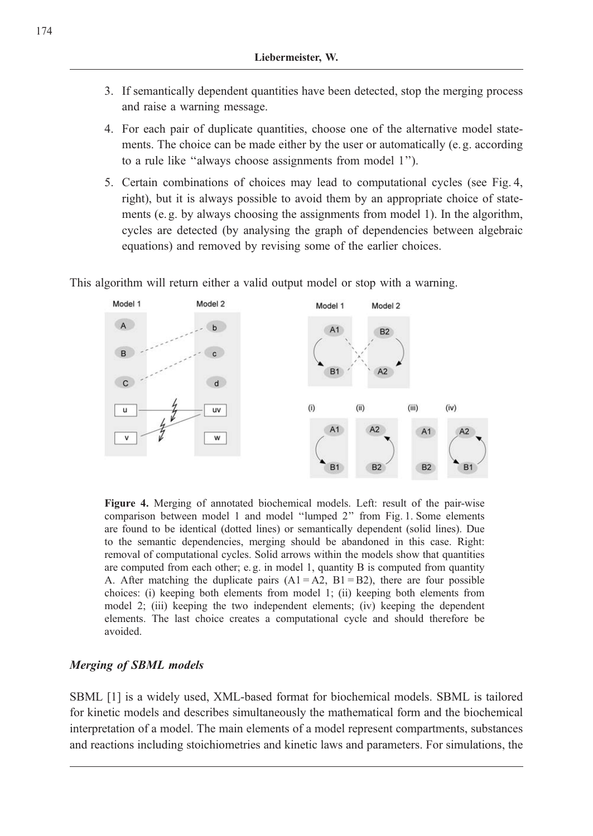- 3. If semantically dependent quantities have been detected, stop the merging process and raise a warning message.
- 4. For each pair of duplicate quantities, choose one of the alternative model statements. The choice can be made either by the user or automatically (e. g. according to a rule like ''always choose assignments from model 1'').
- 5. Certain combinations of choices may lead to computational cycles (see Fig. 4, right), but it is always possible to avoid them by an appropriate choice of statements (e. g. by always choosing the assignments from model 1). In the algorithm, cycles are detected (by analysing the graph of dependencies between algebraic equations) and removed by revising some of the earlier choices.

This algorithm will return either a valid output model or stop with a warning.



Figure 4. Merging of annotated biochemical models. Left: result of the pair-wise comparison between model 1 and model ''lumped 2'' from Fig. 1. Some elements are found to be identical (dotted lines) or semantically dependent (solid lines). Due to the semantic dependencies, merging should be abandoned in this case. Right: removal of computational cycles. Solid arrows within the models show that quantities are computed from each other; e. g. in model 1, quantity B is computed from quantity A. After matching the duplicate pairs  $(A1 = A2, B1 = B2)$ , there are four possible choices: (i) keeping both elements from model 1; (ii) keeping both elements from model 2; (iii) keeping the two independent elements; (iv) keeping the dependent elements. The last choice creates a computational cycle and should therefore be avoided.

### Merging of SBML models

SBML [1] is a widely used, XML-based format for biochemical models. SBML is tailored for kinetic models and describes simultaneously the mathematical form and the biochemical interpretation of a model. The main elements of a model represent compartments, substances and reactions including stoichiometries and kinetic laws and parameters. For simulations, the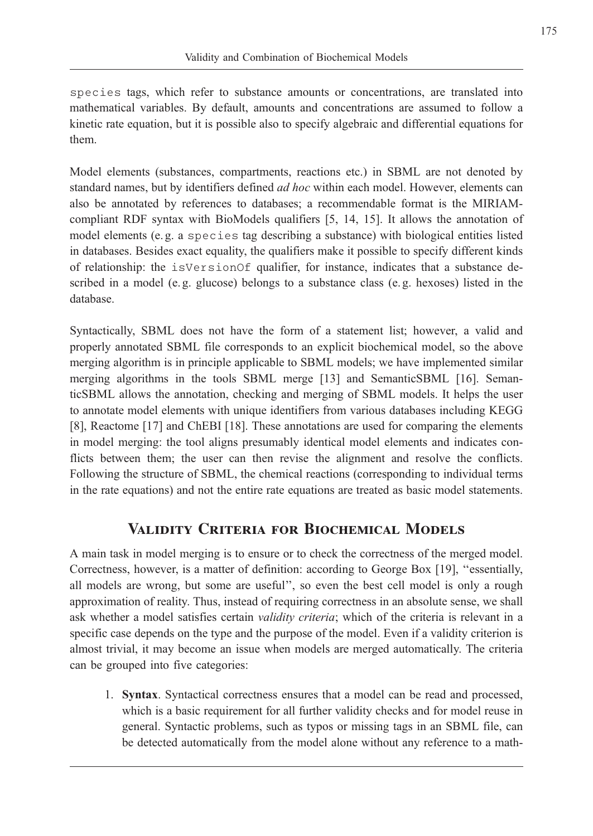species tags, which refer to substance amounts or concentrations, are translated into mathematical variables. By default, amounts and concentrations are assumed to follow a kinetic rate equation, but it is possible also to specify algebraic and differential equations for them.

Model elements (substances, compartments, reactions etc.) in SBML are not denoted by standard names, but by identifiers defined *ad hoc* within each model. However, elements can also be annotated by references to databases; a recommendable format is the MIRIAMcompliant RDF syntax with BioModels qualifiers [5, 14, 15]. It allows the annotation of model elements (e. g. a species tag describing a substance) with biological entities listed in databases. Besides exact equality, the qualifiers make it possible to specify different kinds of relationship: the isVersionOf qualifier, for instance, indicates that a substance described in a model (e. g. glucose) belongs to a substance class (e. g. hexoses) listed in the database.

Syntactically, SBML does not have the form of a statement list; however, a valid and properly annotated SBML file corresponds to an explicit biochemical model, so the above merging algorithm is in principle applicable to SBML models; we have implemented similar merging algorithms in the tools SBML merge [13] and SemanticSBML [16]. SemanticSBML allows the annotation, checking and merging of SBML models. It helps the user to annotate model elements with unique identifiers from various databases including KEGG [8], Reactome [17] and ChEBI [18]. These annotations are used for comparing the elements in model merging: the tool aligns presumably identical model elements and indicates conflicts between them; the user can then revise the alignment and resolve the conflicts. Following the structure of SBML, the chemical reactions (corresponding to individual terms in the rate equations) and not the entire rate equations are treated as basic model statements.

# Validity Criteria for Biochemical Models

A main task in model merging is to ensure or to check the correctness of the merged model. Correctness, however, is a matter of definition: according to George Box [19], ''essentially, all models are wrong, but some are useful'', so even the best cell model is only a rough approximation of reality. Thus, instead of requiring correctness in an absolute sense, we shall ask whether a model satisfies certain *validity criteria*; which of the criteria is relevant in a specific case depends on the type and the purpose of the model. Even if a validity criterion is almost trivial, it may become an issue when models are merged automatically. The criteria can be grouped into five categories:

1. Syntax. Syntactical correctness ensures that a model can be read and processed, which is a basic requirement for all further validity checks and for model reuse in general. Syntactic problems, such as typos or missing tags in an SBML file, can be detected automatically from the model alone without any reference to a math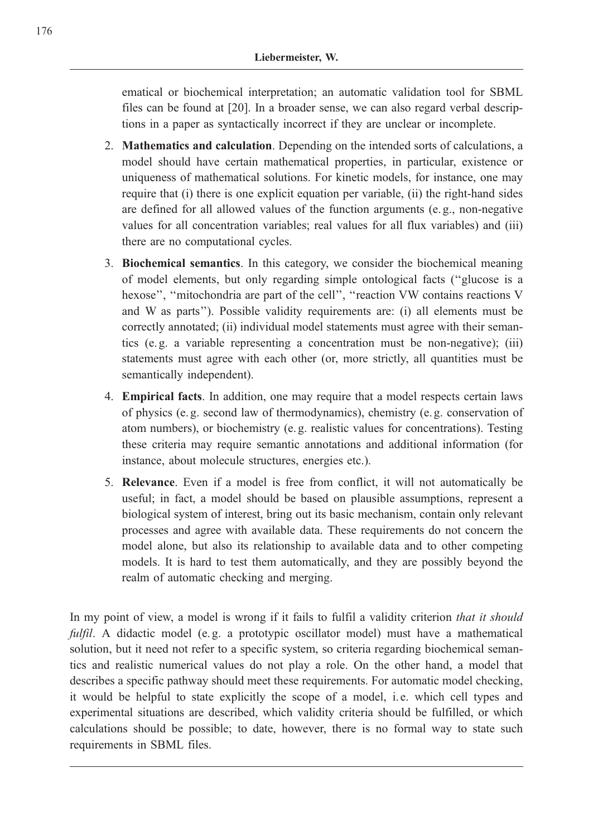ematical or biochemical interpretation; an automatic validation tool for SBML files can be found at [20]. In a broader sense, we can also regard verbal descriptions in a paper as syntactically incorrect if they are unclear or incomplete.

- 2. Mathematics and calculation. Depending on the intended sorts of calculations, a model should have certain mathematical properties, in particular, existence or uniqueness of mathematical solutions. For kinetic models, for instance, one may require that (i) there is one explicit equation per variable, (ii) the right-hand sides are defined for all allowed values of the function arguments (e. g., non-negative values for all concentration variables; real values for all flux variables) and (iii) there are no computational cycles.
- 3. Biochemical semantics. In this category, we consider the biochemical meaning of model elements, but only regarding simple ontological facts (''glucose is a hexose", "mitochondria are part of the cell", "reaction VW contains reactions V and W as parts''). Possible validity requirements are: (i) all elements must be correctly annotated; (ii) individual model statements must agree with their semantics (e. g. a variable representing a concentration must be non-negative); (iii) statements must agree with each other (or, more strictly, all quantities must be semantically independent).
- 4. Empirical facts. In addition, one may require that a model respects certain laws of physics (e. g. second law of thermodynamics), chemistry (e. g. conservation of atom numbers), or biochemistry (e. g. realistic values for concentrations). Testing these criteria may require semantic annotations and additional information (for instance, about molecule structures, energies etc.).
- 5. Relevance. Even if a model is free from conflict, it will not automatically be useful; in fact, a model should be based on plausible assumptions, represent a biological system of interest, bring out its basic mechanism, contain only relevant processes and agree with available data. These requirements do not concern the model alone, but also its relationship to available data and to other competing models. It is hard to test them automatically, and they are possibly beyond the realm of automatic checking and merging.

In my point of view, a model is wrong if it fails to fulfil a validity criterion that it should fulfil. A didactic model (e.g. a prototypic oscillator model) must have a mathematical solution, but it need not refer to a specific system, so criteria regarding biochemical semantics and realistic numerical values do not play a role. On the other hand, a model that describes a specific pathway should meet these requirements. For automatic model checking, it would be helpful to state explicitly the scope of a model, i. e. which cell types and experimental situations are described, which validity criteria should be fulfilled, or which calculations should be possible; to date, however, there is no formal way to state such requirements in SBML files.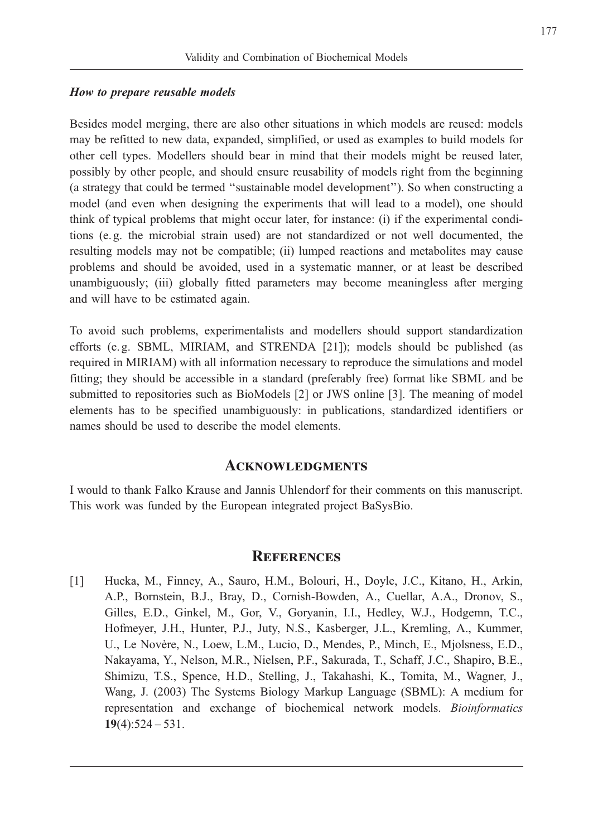#### How to prepare reusable models

Besides model merging, there are also other situations in which models are reused: models may be refitted to new data, expanded, simplified, or used as examples to build models for other cell types. Modellers should bear in mind that their models might be reused later, possibly by other people, and should ensure reusability of models right from the beginning (a strategy that could be termed ''sustainable model development''). So when constructing a model (and even when designing the experiments that will lead to a model), one should think of typical problems that might occur later, for instance: (i) if the experimental conditions (e. g. the microbial strain used) are not standardized or not well documented, the resulting models may not be compatible; (ii) lumped reactions and metabolites may cause problems and should be avoided, used in a systematic manner, or at least be described unambiguously; (iii) globally fitted parameters may become meaningless after merging and will have to be estimated again.

To avoid such problems, experimentalists and modellers should support standardization efforts (e. g. SBML, MIRIAM, and STRENDA [21]); models should be published (as required in MIRIAM) with all information necessary to reproduce the simulations and model fitting; they should be accessible in a standard (preferably free) format like SBML and be submitted to repositories such as BioModels [2] or JWS online [3]. The meaning of model elements has to be specified unambiguously: in publications, standardized identifiers or names should be used to describe the model elements.

### **ACKNOWLEDGMENTS**

I would to thank Falko Krause and Jannis Uhlendorf for their comments on this manuscript. This work was funded by the European integrated project BaSysBio.

### **REFERENCES**

[1] Hucka, M., Finney, A., Sauro, H.M., Bolouri, H., Doyle, J.C., Kitano, H., Arkin, A.P., Bornstein, B.J., Bray, D., Cornish-Bowden, A., Cuellar, A.A., Dronov, S., Gilles, E.D., Ginkel, M., Gor, V., Goryanin, I.I., Hedley, W.J., Hodgemn, T.C., Hofmeyer, J.H., Hunter, P.J., Juty, N.S., Kasberger, J.L., Kremling, A., Kummer, U., Le Novère, N., Loew, L.M., Lucio, D., Mendes, P., Minch, E., Mjolsness, E.D., Nakayama, Y., Nelson, M.R., Nielsen, P.F., Sakurada, T., Schaff, J.C., Shapiro, B.E., Shimizu, T.S., Spence, H.D., Stelling, J., Takahashi, K., Tomita, M., Wagner, J., Wang, J. (2003) The Systems Biology Markup Language (SBML): A medium for representation and exchange of biochemical network models. Bioinformatics  $19(4):524 - 531.$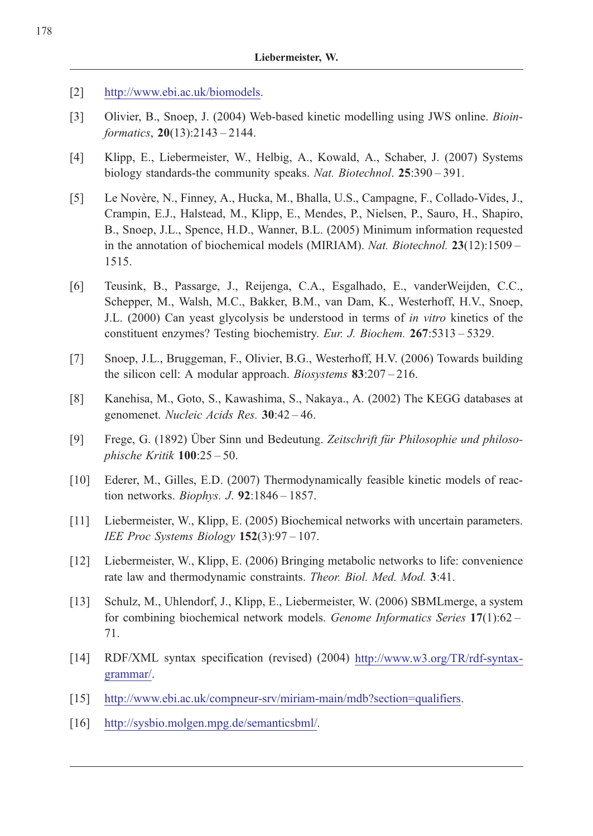- [2] http://www.ebi.ac.uk/biomodels.
- [3] Olivier, B., Snoep, J. (2004) Web-based kinetic modelling using JWS online. Bioinformatics, 20(13):2143 – 2144.
- [4] Klipp, E., Liebermeister, W., Helbig, A., Kowald, A., Schaber, J. (2007) Systems biology standards-the community speaks. Nat. Biotechnol. 25:390 – 391.
- [5] Le Novère, N., Finney, A., Hucka, M., Bhalla, U.S., Campagne, F., Collado-Vides, J., Crampin, E.J., Halstead, M., Klipp, E., Mendes, P., Nielsen, P., Sauro, H., Shapiro, B., Snoep, J.L., Spence, H.D., Wanner, B.L. (2005) Minimum information requested in the annotation of biochemical models (MIRIAM). Nat. Biotechnol.  $23(12):1509 -$ 1515.
- [6] Teusink, B., Passarge, J., Reijenga, C.A., Esgalhado, E., vanderWeijden, C.C., Schepper, M., Walsh, M.C., Bakker, B.M., van Dam, K., Westerhoff, H.V., Snoep, J.L. (2000) Can yeast glycolysis be understood in terms of in vitro kinetics of the constituent enzymes? Testing biochemistry. Eur. J. Biochem. 267:5313 – 5329.
- [7] Snoep, J.L., Bruggeman, F., Olivier, B.G., Westerhoff, H.V. (2006) Towards building the silicon cell: A modular approach. *Biosystems* 83:207 – 216.
- [8] Kanehisa, M., Goto, S., Kawashima, S., Nakaya., A. (2002) The KEGG databases at genomenet. Nucleic Acids Res. 30:42 – 46.
- [9] Frege, G. (1892) Über Sinn und Bedeutung. Zeitschrift für Philosophie und philosophische Kritik 100:25 – 50.
- [10] Ederer, M., Gilles, E.D. (2007) Thermodynamically feasible kinetic models of reaction networks. Biophys. J.  $92:1846 - 1857$ .
- [11] Liebermeister, W., Klipp, E. (2005) Biochemical networks with uncertain parameters. IEE Proc Systems Biology  $152(3):97-107$ .
- [12] Liebermeister, W., Klipp, E. (2006) Bringing metabolic networks to life: convenience rate law and thermodynamic constraints. Theor. Biol. Med. Mod. 3:41.
- [13] Schulz, M., Uhlendorf, J., Klipp, E., Liebermeister, W. (2006) SBMLmerge, a system for combining biochemical network models. Genome Informatics Series 17(1):62 – 71.
- [14] RDF/XML syntax specification (revised) (2004) http://www.w3.org/TR/rdf-syntaxgrammar/.
- [15] http://www.ebi.ac.uk/compneur-srv/miriam-main/mdb?section=qualifiers.
- [16] http://sysbio.molgen.mpg.de/semanticsbml/.